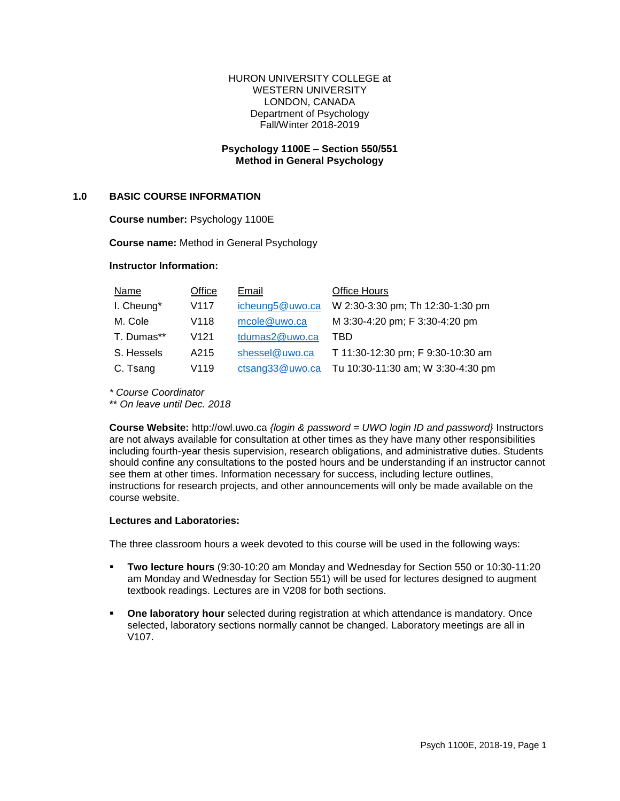#### HURON UNIVERSITY COLLEGE at WESTERN UNIVERSITY LONDON, CANADA Department of Psychology Fall/Winter 2018-2019

## **Psychology 1100E – Section 550/551 Method in General Psychology**

### **1.0 BASIC COURSE INFORMATION**

**Course number:** Psychology 1100E

**Course name:** Method in General Psychology

### **Instructor Information:**

| Name       | Office           | Email           | <b>Office Hours</b>               |
|------------|------------------|-----------------|-----------------------------------|
| I. Cheung* | V117             | icheung5@uwo.ca | W 2:30-3:30 pm; Th 12:30-1:30 pm  |
| M. Cole    | V118             | mcole@uwo.ca    | M 3:30-4:20 pm; F 3:30-4:20 pm    |
| T. Dumas** | V <sub>121</sub> | tdumas2@uwo.ca  | TRD                               |
| S. Hessels | A215             | shessel@uwo.ca  | T 11:30-12:30 pm; F 9:30-10:30 am |
| C. Tsang   | V119             | ctsang33@uwo.ca | Tu 10:30-11:30 am; W 3:30-4:30 pm |

*\* Course Coordinator*

\*\* *On leave until Dec. 2018*

**Course Website:** http://owl.uwo.ca *{login & password = UWO login ID and password}* Instructors are not always available for consultation at other times as they have many other responsibilities including fourth-year thesis supervision, research obligations, and administrative duties. Students should confine any consultations to the posted hours and be understanding if an instructor cannot see them at other times. Information necessary for success, including lecture outlines, instructions for research projects, and other announcements will only be made available on the course website.

### **Lectures and Laboratories:**

The three classroom hours a week devoted to this course will be used in the following ways:

- **Two lecture hours** (9:30-10:20 am Monday and Wednesday for Section 550 or 10:30-11:20 am Monday and Wednesday for Section 551) will be used for lectures designed to augment textbook readings. Lectures are in V208 for both sections.
- **Proped aboratory hour** selected during registration at which attendance is mandatory. Once selected, laboratory sections normally cannot be changed. Laboratory meetings are all in V107.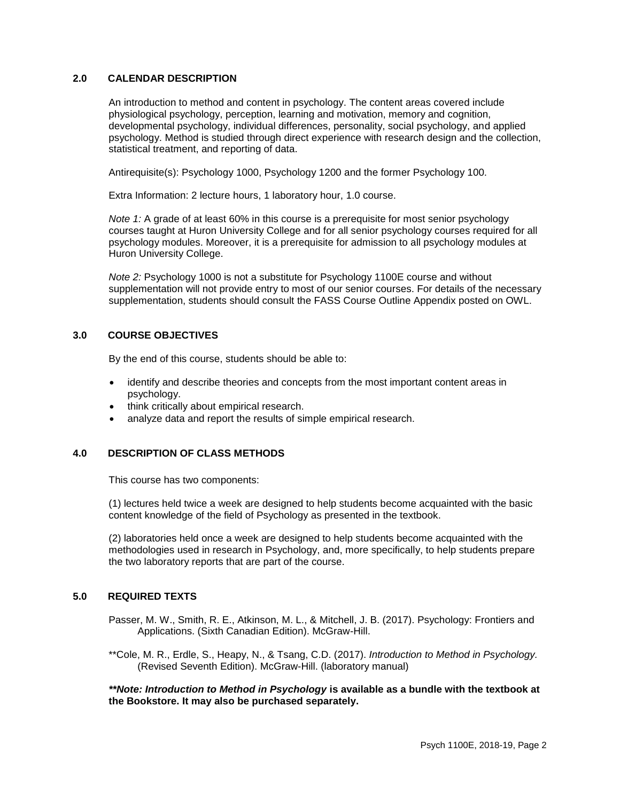## **2.0 CALENDAR DESCRIPTION**

An introduction to method and content in psychology. The content areas covered include physiological psychology, perception, learning and motivation, memory and cognition, developmental psychology, individual differences, personality, social psychology, and applied psychology. Method is studied through direct experience with research design and the collection, statistical treatment, and reporting of data.

Antirequisite(s): Psychology 1000, Psychology 1200 and the former Psychology 100.

Extra Information: 2 lecture hours, 1 laboratory hour, 1.0 course.

*Note 1:* A grade of at least 60% in this course is a prerequisite for most senior psychology courses taught at Huron University College and for all senior psychology courses required for all psychology modules. Moreover, it is a prerequisite for admission to all psychology modules at Huron University College.

*Note 2:* Psychology 1000 is not a substitute for Psychology 1100E course and without supplementation will not provide entry to most of our senior courses. For details of the necessary supplementation, students should consult the FASS Course Outline Appendix posted on OWL.

## **3.0 COURSE OBJECTIVES**

By the end of this course, students should be able to:

- identify and describe theories and concepts from the most important content areas in psychology.
- think critically about empirical research.
- analyze data and report the results of simple empirical research.

## **4.0 DESCRIPTION OF CLASS METHODS**

This course has two components:

(1) lectures held twice a week are designed to help students become acquainted with the basic content knowledge of the field of Psychology as presented in the textbook.

(2) laboratories held once a week are designed to help students become acquainted with the methodologies used in research in Psychology, and, more specifically, to help students prepare the two laboratory reports that are part of the course.

## **5.0 REQUIRED TEXTS**

Passer, M. W., Smith, R. E., Atkinson, M. L., & Mitchell, J. B. (2017). Psychology: Frontiers and Applications. (Sixth Canadian Edition). McGraw-Hill.

\*\*Cole, M. R., Erdle, S., Heapy, N., & Tsang, C.D. (2017). *Introduction to Method in Psychology.* (Revised Seventh Edition). McGraw-Hill. (laboratory manual)

*\*\*Note: Introduction to Method in Psychology* **is available as a bundle with the textbook at the Bookstore. It may also be purchased separately.**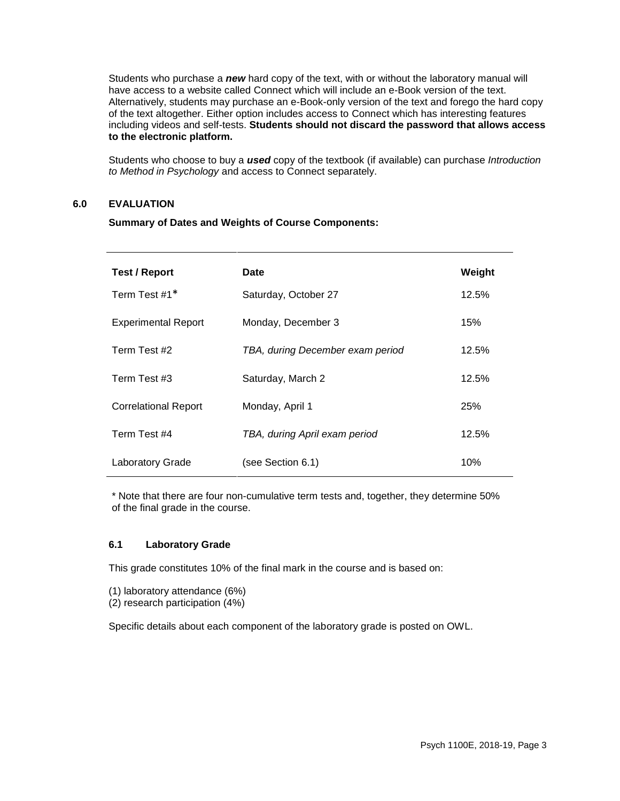Students who purchase a *new* hard copy of the text, with or without the laboratory manual will have access to a website called Connect which will include an e-Book version of the text. Alternatively, students may purchase an e-Book-only version of the text and forego the hard copy of the text altogether. Either option includes access to Connect which has interesting features including videos and self-tests. **Students should not discard the password that allows access to the electronic platform.**

Students who choose to buy a *used* copy of the textbook (if available) can purchase *Introduction to Method in Psychology* and access to Connect separately.

### **6.0 EVALUATION**

**Summary of Dates and Weights of Course Components:**

| <b>Test / Report</b>        | Date                             | Weight     |
|-----------------------------|----------------------------------|------------|
| Term Test #1*               | Saturday, October 27             | 12.5%      |
| <b>Experimental Report</b>  | Monday, December 3               | 15%        |
| Term Test #2                | TBA, during December exam period | 12.5%      |
| Term Test #3                | Saturday, March 2                | 12.5%      |
| <b>Correlational Report</b> | Monday, April 1                  | <b>25%</b> |
| Term Test #4                | TBA, during April exam period    | 12.5%      |
| Laboratory Grade            | (see Section 6.1)                | 10%        |

\* Note that there are four non-cumulative term tests and, together, they determine 50% of the final grade in the course.

## **6.1 Laboratory Grade**

This grade constitutes 10% of the final mark in the course and is based on:

- (1) laboratory attendance (6%)
- (2) research participation (4%)

Specific details about each component of the laboratory grade is posted on OWL.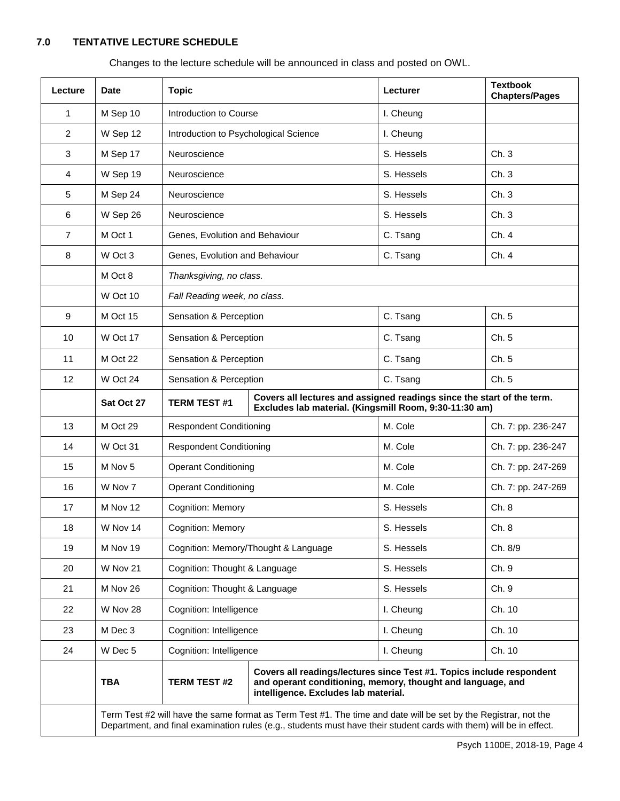# **7.0 TENTATIVE LECTURE SCHEDULE**

Changes to the lecture schedule will be announced in class and posted on OWL.

| Lecture        | <b>Date</b>                                                                                                                                                                                                                            | <b>Topic</b>                                                                  |                                                                                                                                                                              | Lecturer                                                               | <b>Textbook</b><br><b>Chapters/Pages</b> |  |
|----------------|----------------------------------------------------------------------------------------------------------------------------------------------------------------------------------------------------------------------------------------|-------------------------------------------------------------------------------|------------------------------------------------------------------------------------------------------------------------------------------------------------------------------|------------------------------------------------------------------------|------------------------------------------|--|
| 1              | M Sep 10                                                                                                                                                                                                                               | Introduction to Course                                                        |                                                                                                                                                                              | I. Cheung                                                              |                                          |  |
| 2              | W Sep 12                                                                                                                                                                                                                               | Introduction to Psychological Science                                         |                                                                                                                                                                              | I. Cheung                                                              |                                          |  |
| 3              | M Sep 17                                                                                                                                                                                                                               | Neuroscience                                                                  |                                                                                                                                                                              | S. Hessels                                                             | Ch.3                                     |  |
| 4              | W Sep 19                                                                                                                                                                                                                               | Neuroscience                                                                  |                                                                                                                                                                              | S. Hessels                                                             | Ch.3                                     |  |
| 5              | M Sep 24                                                                                                                                                                                                                               | Neuroscience                                                                  |                                                                                                                                                                              | S. Hessels                                                             | Ch.3                                     |  |
| 6              | W Sep 26                                                                                                                                                                                                                               | Neuroscience                                                                  |                                                                                                                                                                              | S. Hessels                                                             | Ch.3                                     |  |
| $\overline{7}$ | M Oct 1                                                                                                                                                                                                                                | Genes, Evolution and Behaviour                                                |                                                                                                                                                                              | C. Tsang                                                               | Ch. 4                                    |  |
| 8              | W Oct 3                                                                                                                                                                                                                                | Genes, Evolution and Behaviour                                                |                                                                                                                                                                              | C. Tsang                                                               | Ch. 4                                    |  |
|                | M Oct 8                                                                                                                                                                                                                                | Thanksgiving, no class.                                                       |                                                                                                                                                                              |                                                                        |                                          |  |
|                | W Oct 10                                                                                                                                                                                                                               | Fall Reading week, no class.                                                  |                                                                                                                                                                              |                                                                        |                                          |  |
| 9              | M Oct 15                                                                                                                                                                                                                               | Sensation & Perception                                                        |                                                                                                                                                                              | C. Tsang                                                               | Ch. 5                                    |  |
| 10             | W Oct 17                                                                                                                                                                                                                               | Sensation & Perception                                                        |                                                                                                                                                                              | C. Tsang                                                               | Ch. 5                                    |  |
| 11             | M Oct 22                                                                                                                                                                                                                               | Sensation & Perception                                                        |                                                                                                                                                                              | C. Tsang                                                               | Ch. 5                                    |  |
| 12             | W Oct 24                                                                                                                                                                                                                               | Sensation & Perception                                                        |                                                                                                                                                                              | C. Tsang                                                               | Ch. 5                                    |  |
|                | Sat Oct 27                                                                                                                                                                                                                             | <b>TERM TEST #1</b><br>Excludes lab material. (Kingsmill Room, 9:30-11:30 am) |                                                                                                                                                                              | Covers all lectures and assigned readings since the start of the term. |                                          |  |
| 13             | M Oct 29                                                                                                                                                                                                                               | <b>Respondent Conditioning</b>                                                |                                                                                                                                                                              | M. Cole                                                                | Ch. 7: pp. 236-247                       |  |
| 14             | W Oct 31                                                                                                                                                                                                                               | <b>Respondent Conditioning</b>                                                |                                                                                                                                                                              | M. Cole                                                                | Ch. 7: pp. 236-247                       |  |
| 15             | M Nov 5                                                                                                                                                                                                                                | <b>Operant Conditioning</b>                                                   |                                                                                                                                                                              | M. Cole                                                                | Ch. 7: pp. 247-269                       |  |
| 16             | W Nov 7                                                                                                                                                                                                                                | <b>Operant Conditioning</b>                                                   |                                                                                                                                                                              | M. Cole                                                                | Ch. 7: pp. 247-269                       |  |
| 17             | M Nov 12                                                                                                                                                                                                                               | Cognition: Memory                                                             |                                                                                                                                                                              | S. Hessels                                                             | Ch. 8                                    |  |
| 18             | W Nov 14                                                                                                                                                                                                                               | Cognition: Memory                                                             |                                                                                                                                                                              | S. Hessels                                                             | Ch. 8                                    |  |
| 19             | M Nov 19                                                                                                                                                                                                                               |                                                                               | Cognition: Memory/Thought & Language                                                                                                                                         | S. Hessels                                                             | Ch. 8/9                                  |  |
| 20             | W Nov 21                                                                                                                                                                                                                               | Cognition: Thought & Language                                                 |                                                                                                                                                                              | S. Hessels                                                             | Ch. 9                                    |  |
| 21             | M Nov 26                                                                                                                                                                                                                               | Cognition: Thought & Language                                                 |                                                                                                                                                                              | S. Hessels                                                             | Ch. 9                                    |  |
| 22             | W Nov 28                                                                                                                                                                                                                               | Cognition: Intelligence                                                       |                                                                                                                                                                              | I. Cheung                                                              | Ch. 10                                   |  |
| 23             | M Dec 3                                                                                                                                                                                                                                | Cognition: Intelligence                                                       |                                                                                                                                                                              | I. Cheung                                                              | Ch. 10                                   |  |
| 24             | W Dec 5                                                                                                                                                                                                                                | Cognition: Intelligence                                                       |                                                                                                                                                                              | I. Cheung                                                              | Ch. 10                                   |  |
|                | <b>TBA</b>                                                                                                                                                                                                                             | <b>TERM TEST #2</b>                                                           | Covers all readings/lectures since Test #1. Topics include respondent<br>and operant conditioning, memory, thought and language, and<br>intelligence. Excludes lab material. |                                                                        |                                          |  |
|                | Term Test #2 will have the same format as Term Test #1. The time and date will be set by the Registrar, not the<br>Department, and final examination rules (e.g., students must have their student cards with them) will be in effect. |                                                                               |                                                                                                                                                                              |                                                                        |                                          |  |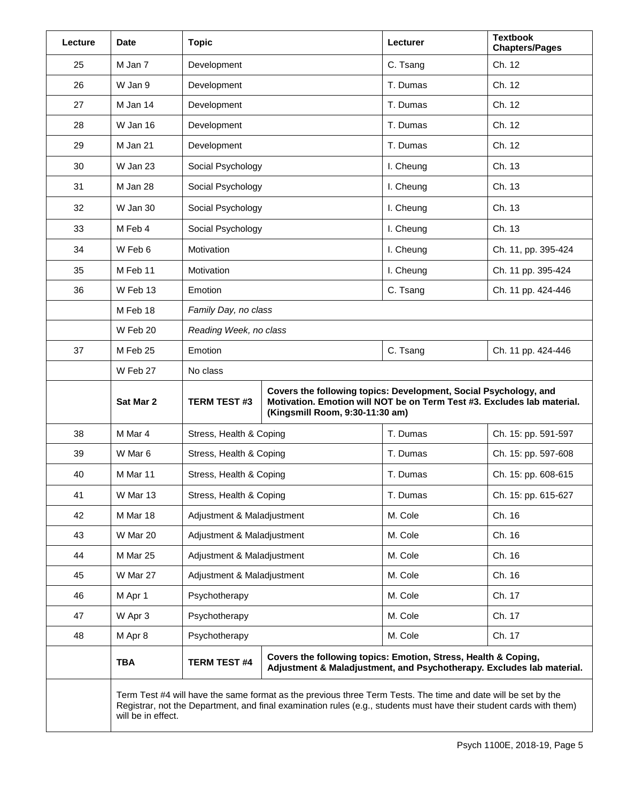| Lecture | <b>Date</b>                                                                                                                                                                                                                                                | <b>Topic</b>                                                                                                                                                                                          |                                                                                                                                         | Lecturer  | <b>Textbook</b><br><b>Chapters/Pages</b> |
|---------|------------------------------------------------------------------------------------------------------------------------------------------------------------------------------------------------------------------------------------------------------------|-------------------------------------------------------------------------------------------------------------------------------------------------------------------------------------------------------|-----------------------------------------------------------------------------------------------------------------------------------------|-----------|------------------------------------------|
| 25      | M Jan 7                                                                                                                                                                                                                                                    | Development                                                                                                                                                                                           |                                                                                                                                         | C. Tsang  | Ch. 12                                   |
| 26      | W Jan 9                                                                                                                                                                                                                                                    | Development                                                                                                                                                                                           |                                                                                                                                         | T. Dumas  | Ch. 12                                   |
| 27      | M Jan 14                                                                                                                                                                                                                                                   | Development                                                                                                                                                                                           |                                                                                                                                         | T. Dumas  | Ch. 12                                   |
| 28      | W Jan 16                                                                                                                                                                                                                                                   | Development                                                                                                                                                                                           |                                                                                                                                         | T. Dumas  | Ch. 12                                   |
| 29      | M Jan 21                                                                                                                                                                                                                                                   | Development                                                                                                                                                                                           |                                                                                                                                         | T. Dumas  | Ch. 12                                   |
| 30      | W Jan 23                                                                                                                                                                                                                                                   | Social Psychology                                                                                                                                                                                     |                                                                                                                                         | I. Cheung | Ch. 13                                   |
| 31      | M Jan 28                                                                                                                                                                                                                                                   | Social Psychology                                                                                                                                                                                     |                                                                                                                                         | I. Cheung | Ch. 13                                   |
| 32      | W Jan 30                                                                                                                                                                                                                                                   | Social Psychology                                                                                                                                                                                     |                                                                                                                                         | I. Cheung | Ch. 13                                   |
| 33      | M Feb 4                                                                                                                                                                                                                                                    | Social Psychology                                                                                                                                                                                     |                                                                                                                                         | I. Cheung | Ch. 13                                   |
| 34      | W Feb 6                                                                                                                                                                                                                                                    | Motivation                                                                                                                                                                                            |                                                                                                                                         |           | Ch. 11, pp. 395-424                      |
| 35      | M Feb 11                                                                                                                                                                                                                                                   | Motivation                                                                                                                                                                                            |                                                                                                                                         |           | Ch. 11 pp. 395-424                       |
| 36      | W Feb 13                                                                                                                                                                                                                                                   | Emotion                                                                                                                                                                                               |                                                                                                                                         | C. Tsang  | Ch. 11 pp. 424-446                       |
|         | M Feb 18                                                                                                                                                                                                                                                   | Family Day, no class                                                                                                                                                                                  |                                                                                                                                         |           |                                          |
|         | W Feb 20                                                                                                                                                                                                                                                   | Reading Week, no class                                                                                                                                                                                |                                                                                                                                         |           |                                          |
| 37      | M Feb 25                                                                                                                                                                                                                                                   | Emotion                                                                                                                                                                                               | C. Tsang                                                                                                                                |           |                                          |
|         | W Feb 27                                                                                                                                                                                                                                                   | No class                                                                                                                                                                                              |                                                                                                                                         |           |                                          |
|         | Sat Mar 2                                                                                                                                                                                                                                                  | Covers the following topics: Development, Social Psychology, and<br>Motivation. Emotion will NOT be on Term Test #3. Excludes lab material.<br><b>TERM TEST #3</b><br>(Kingsmill Room, 9:30-11:30 am) |                                                                                                                                         |           |                                          |
| 38      | M Mar 4                                                                                                                                                                                                                                                    | Stress, Health & Coping                                                                                                                                                                               |                                                                                                                                         | T. Dumas  | Ch. 15: pp. 591-597                      |
| 39      | W Mar 6                                                                                                                                                                                                                                                    | Stress, Health & Coping                                                                                                                                                                               |                                                                                                                                         | T. Dumas  | Ch. 15: pp. 597-608                      |
| 40      | M Mar 11                                                                                                                                                                                                                                                   | Stress, Health & Coping                                                                                                                                                                               |                                                                                                                                         | T. Dumas  | Ch. 15: pp. 608-615                      |
| 41      | W Mar 13                                                                                                                                                                                                                                                   | Stress, Health & Coping                                                                                                                                                                               |                                                                                                                                         | T. Dumas  | Ch. 15: pp. 615-627                      |
| 42      | M Mar 18                                                                                                                                                                                                                                                   | Adjustment & Maladjustment                                                                                                                                                                            |                                                                                                                                         | M. Cole   | Ch. 16                                   |
| 43      | W Mar 20                                                                                                                                                                                                                                                   | Adjustment & Maladjustment                                                                                                                                                                            |                                                                                                                                         | M. Cole   | Ch. 16                                   |
| 44      | M Mar 25                                                                                                                                                                                                                                                   | Adjustment & Maladjustment                                                                                                                                                                            |                                                                                                                                         | M. Cole   | Ch. 16                                   |
| 45      | W Mar 27                                                                                                                                                                                                                                                   | Adjustment & Maladjustment                                                                                                                                                                            |                                                                                                                                         | M. Cole   | Ch. 16                                   |
| 46      | M Apr 1                                                                                                                                                                                                                                                    | Psychotherapy                                                                                                                                                                                         |                                                                                                                                         | M. Cole   | Ch. 17                                   |
| 47      | W Apr 3                                                                                                                                                                                                                                                    | Psychotherapy                                                                                                                                                                                         |                                                                                                                                         | M. Cole   | Ch. 17                                   |
| 48      | M Apr 8                                                                                                                                                                                                                                                    | Psychotherapy                                                                                                                                                                                         |                                                                                                                                         | M. Cole   | Ch. 17                                   |
|         | <b>TBA</b>                                                                                                                                                                                                                                                 | <b>TERM TEST #4</b>                                                                                                                                                                                   | Covers the following topics: Emotion, Stress, Health & Coping,<br>Adjustment & Maladjustment, and Psychotherapy. Excludes lab material. |           |                                          |
|         | Term Test #4 will have the same format as the previous three Term Tests. The time and date will be set by the<br>Registrar, not the Department, and final examination rules (e.g., students must have their student cards with them)<br>will be in effect. |                                                                                                                                                                                                       |                                                                                                                                         |           |                                          |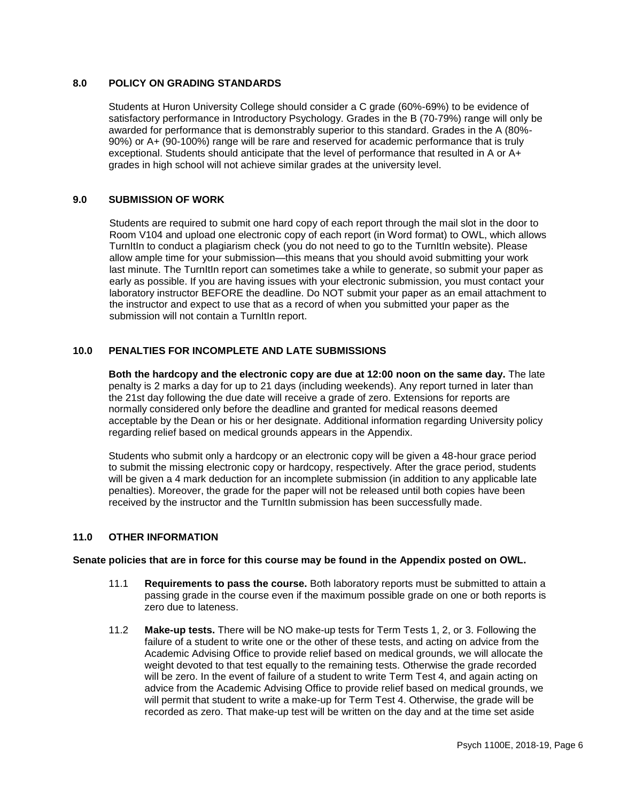## **8.0 POLICY ON GRADING STANDARDS**

Students at Huron University College should consider a C grade (60%-69%) to be evidence of satisfactory performance in Introductory Psychology. Grades in the B (70-79%) range will only be awarded for performance that is demonstrably superior to this standard. Grades in the A (80%- 90%) or A+ (90-100%) range will be rare and reserved for academic performance that is truly exceptional. Students should anticipate that the level of performance that resulted in A or A+ grades in high school will not achieve similar grades at the university level.

### **9.0 SUBMISSION OF WORK**

Students are required to submit one hard copy of each report through the mail slot in the door to Room V104 and upload one electronic copy of each report (in Word format) to OWL, which allows TurnItIn to conduct a plagiarism check (you do not need to go to the TurnItIn website). Please allow ample time for your submission—this means that you should avoid submitting your work last minute. The TurnItIn report can sometimes take a while to generate, so submit your paper as early as possible. If you are having issues with your electronic submission, you must contact your laboratory instructor BEFORE the deadline. Do NOT submit your paper as an email attachment to the instructor and expect to use that as a record of when you submitted your paper as the submission will not contain a TurnItIn report.

## **10.0 PENALTIES FOR INCOMPLETE AND LATE SUBMISSIONS**

**Both the hardcopy and the electronic copy are due at 12:00 noon on the same day.** The late penalty is 2 marks a day for up to 21 days (including weekends). Any report turned in later than the 21st day following the due date will receive a grade of zero. Extensions for reports are normally considered only before the deadline and granted for medical reasons deemed acceptable by the Dean or his or her designate. Additional information regarding University policy regarding relief based on medical grounds appears in the Appendix.

Students who submit only a hardcopy or an electronic copy will be given a 48-hour grace period to submit the missing electronic copy or hardcopy, respectively. After the grace period, students will be given a 4 mark deduction for an incomplete submission (in addition to any applicable late penalties). Moreover, the grade for the paper will not be released until both copies have been received by the instructor and the TurnItIn submission has been successfully made.

#### **11.0 OTHER INFORMATION**

#### **Senate policies that are in force for this course may be found in the Appendix posted on OWL.**

- 11.1 **Requirements to pass the course.** Both laboratory reports must be submitted to attain a passing grade in the course even if the maximum possible grade on one or both reports is zero due to lateness.
- 11.2 **Make-up tests.** There will be NO make-up tests for Term Tests 1, 2, or 3. Following the failure of a student to write one or the other of these tests, and acting on advice from the Academic Advising Office to provide relief based on medical grounds, we will allocate the weight devoted to that test equally to the remaining tests. Otherwise the grade recorded will be zero. In the event of failure of a student to write Term Test 4, and again acting on advice from the Academic Advising Office to provide relief based on medical grounds, we will permit that student to write a make-up for Term Test 4. Otherwise, the grade will be recorded as zero. That make-up test will be written on the day and at the time set aside